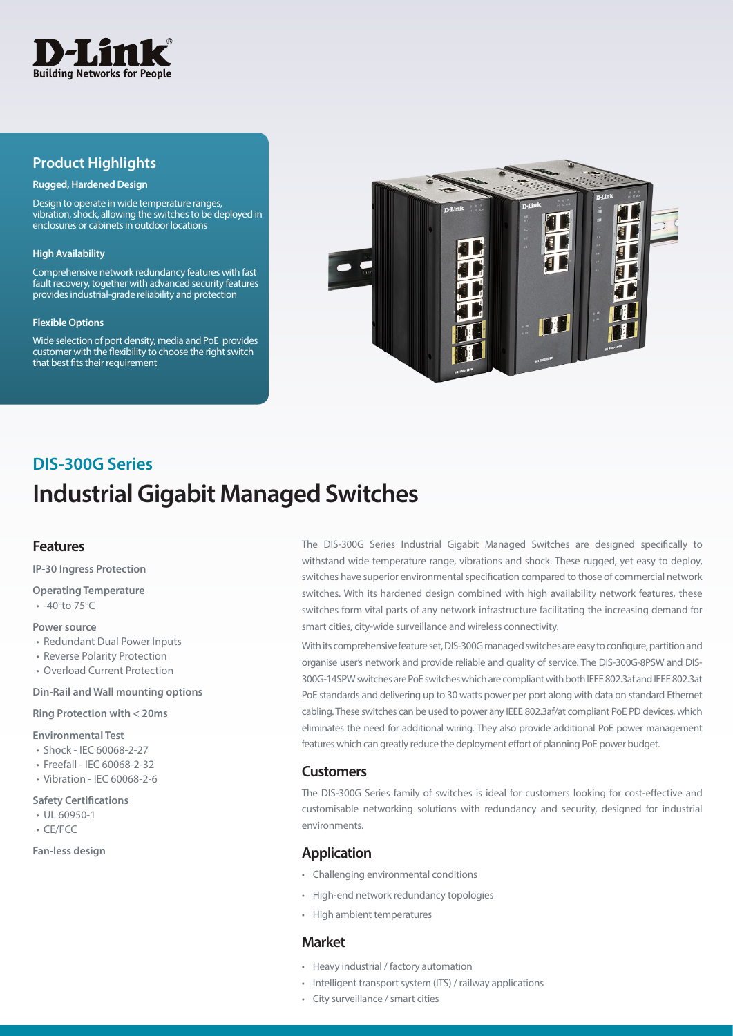

## **Product Highlights**

#### **Rugged, Hardened Design**

Design to operate in wide temperature ranges, vibration, shock, allowing the switches to be deployed in enclosures or cabinets in outdoor locations

#### **High Availability**

Comprehensive network redundancy features with fast fault recovery, together with advanced security features provides industrial-grade reliability and protection

#### **Flexible Options**

Wide selection of port density, media and PoE provides customer with the flexibility to choose the right switch that best fits their requirement



## **Industrial Gigabit Managed Switches DIS-300G Series**

## **Features**

**IP-30 Ingress Protection** 

## **Operating Temperature**

• -40°to 75°C

#### **Power source**

- Redundant Dual Power Inputs
- Reverse Polarity Protection
- Overload Current Protection

#### **Din-Rail and Wall mounting options**

#### **Ring Protection with < 20ms**

#### **Environmental Test**

- Shock IEC 60068-2-27
- Freefall IEC 60068-2-32
- Vibration IEC 60068-2-6

#### **Safety Certifications**

- UL 60950-1
- CE/FCC

#### **Fan-less design**

The DIS-300G Series Industrial Gigabit Managed Switches are designed specifically to withstand wide temperature range, vibrations and shock. These rugged, yet easy to deploy, switches have superior environmental specification compared to those of commercial network switches. With its hardened design combined with high availability network features, these switches form vital parts of any network infrastructure facilitating the increasing demand for smart cities, city-wide surveillance and wireless connectivity.

With its comprehensive feature set, DIS-300G managed switches are easy to configure, partition and organise user's network and provide reliable and quality of service. The DIS-300G-8PSW and DIS-300G-14SPW switches are PoE switches which are compliant with both IEEE 802.3af and IEEE 802.3at PoE standards and delivering up to 30 watts power per port along with data on standard Ethernet cabling. These switches can be used to power any IEEE 802.3af/at compliant PoE PD devices, which eliminates the need for additional wiring. They also provide additional PoE power management features which can greatly reduce the deployment effort of planning PoE power budget.

## **Customers**

The DIS-300G Series family of switches is ideal for customers looking for cost-effective and customisable networking solutions with redundancy and security, designed for industrial environments.

## **Application**

- Challenging environmental conditions
- High-end network redundancy topologies
- High ambient temperatures

### **Market**

- Heavy industrial / factory automation
- Intelligent transport system (ITS) / railway applications
- City surveillance / smart cities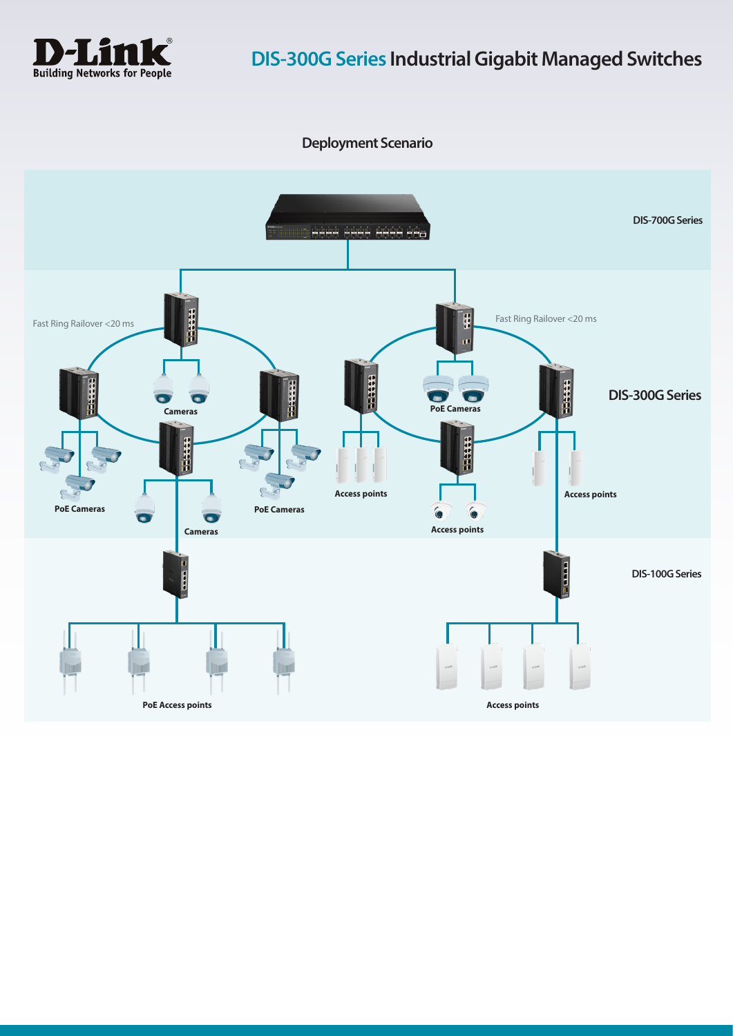

**Deployment Scenario**

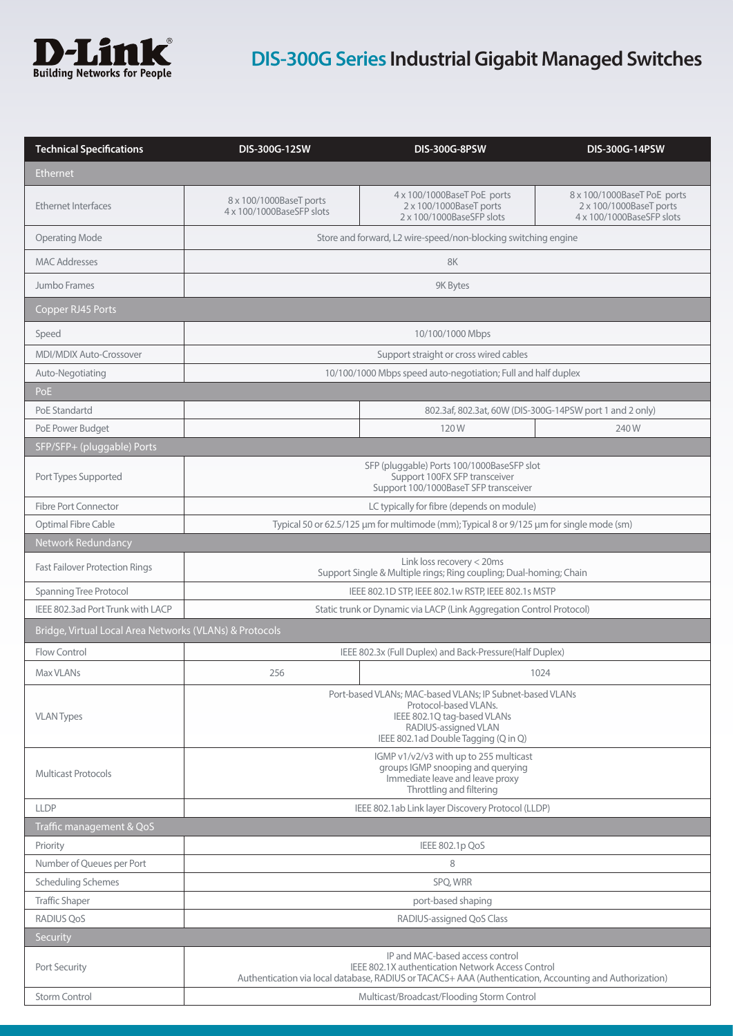

# **DIS-300G Series Industrial Gigabit Managed Switches**

| <b>Technical Specifications</b>                         | DIS-300G-12SW                                                                                                                                                                                          | <b>DIS-300G-8PSW</b>                                                                | <b>DIS-300G-14PSW</b>                                                               |  |
|---------------------------------------------------------|--------------------------------------------------------------------------------------------------------------------------------------------------------------------------------------------------------|-------------------------------------------------------------------------------------|-------------------------------------------------------------------------------------|--|
| <b>Ethernet</b>                                         |                                                                                                                                                                                                        |                                                                                     |                                                                                     |  |
| <b>Ethernet Interfaces</b>                              | 8 x 100/1000BaseT ports<br>4 x 100/1000BaseSFP slots                                                                                                                                                   | 4 x 100/1000BaseT PoE ports<br>2 x 100/1000BaseT ports<br>2 x 100/1000BaseSFP slots | 8 x 100/1000BaseT PoE ports<br>2 x 100/1000BaseT ports<br>4 x 100/1000BaseSFP slots |  |
| <b>Operating Mode</b>                                   | Store and forward, L2 wire-speed/non-blocking switching engine                                                                                                                                         |                                                                                     |                                                                                     |  |
| <b>MAC Addresses</b>                                    | 8K                                                                                                                                                                                                     |                                                                                     |                                                                                     |  |
| Jumbo Frames                                            | 9K Bytes                                                                                                                                                                                               |                                                                                     |                                                                                     |  |
| Copper RJ45 Ports                                       |                                                                                                                                                                                                        |                                                                                     |                                                                                     |  |
| Speed                                                   | 10/100/1000 Mbps                                                                                                                                                                                       |                                                                                     |                                                                                     |  |
| <b>MDI/MDIX Auto-Crossover</b>                          | Support straight or cross wired cables                                                                                                                                                                 |                                                                                     |                                                                                     |  |
| Auto-Negotiating                                        | 10/100/1000 Mbps speed auto-negotiation; Full and half duplex                                                                                                                                          |                                                                                     |                                                                                     |  |
| PoE                                                     |                                                                                                                                                                                                        |                                                                                     |                                                                                     |  |
| PoE Standartd                                           |                                                                                                                                                                                                        |                                                                                     | 802.3af, 802.3at, 60W (DIS-300G-14PSW port 1 and 2 only)                            |  |
| PoE Power Budget                                        |                                                                                                                                                                                                        | 120W                                                                                | 240W                                                                                |  |
| SFP/SFP+ (pluggable) Ports                              |                                                                                                                                                                                                        |                                                                                     |                                                                                     |  |
| Port Types Supported                                    | SFP (pluggable) Ports 100/1000BaseSFP slot<br>Support 100FX SFP transceiver<br>Support 100/1000BaseT SFP transceiver                                                                                   |                                                                                     |                                                                                     |  |
| <b>Fibre Port Connector</b>                             | LC typically for fibre (depends on module)                                                                                                                                                             |                                                                                     |                                                                                     |  |
| Optimal Fibre Cable                                     | Typical 50 or 62.5/125 µm for multimode (mm); Typical 8 or 9/125 µm for single mode (sm)                                                                                                               |                                                                                     |                                                                                     |  |
| Network Redundancy                                      |                                                                                                                                                                                                        |                                                                                     |                                                                                     |  |
| <b>Fast Failover Protection Rings</b>                   | Link loss recovery < 20ms<br>Support Single & Multiple rings; Ring coupling; Dual-homing; Chain                                                                                                        |                                                                                     |                                                                                     |  |
| Spanning Tree Protocol                                  | IEEE 802.1D STP, IEEE 802.1w RSTP, IEEE 802.1s MSTP                                                                                                                                                    |                                                                                     |                                                                                     |  |
| IEEE 802.3ad Port Trunk with LACP                       | Static trunk or Dynamic via LACP (Link Aggregation Control Protocol)                                                                                                                                   |                                                                                     |                                                                                     |  |
| Bridge, Virtual Local Area Networks (VLANs) & Protocols |                                                                                                                                                                                                        |                                                                                     |                                                                                     |  |
| Flow Control                                            |                                                                                                                                                                                                        | IEEE 802.3x (Full Duplex) and Back-Pressure(Half Duplex)                            |                                                                                     |  |
| Max VLANs                                               | 256                                                                                                                                                                                                    |                                                                                     | 1024                                                                                |  |
| <b>VLAN Types</b>                                       | Port-based VLANs; MAC-based VLANs; IP Subnet-based VLANs<br>Protocol-based VLANs.<br>IEEE 802.1Q tag-based VLANs<br>RADIUS-assigned VLAN<br>IEEE 802.1 ad Double Tagging (Q in Q)                      |                                                                                     |                                                                                     |  |
| <b>Multicast Protocols</b>                              | IGMP v1/v2/v3 with up to 255 multicast<br>groups IGMP snooping and querying<br>Immediate leave and leave proxy<br>Throttling and filtering                                                             |                                                                                     |                                                                                     |  |
| <b>LLDP</b>                                             |                                                                                                                                                                                                        | IEEE 802.1ab Link layer Discovery Protocol (LLDP)                                   |                                                                                     |  |
| Traffic management & QoS                                |                                                                                                                                                                                                        |                                                                                     |                                                                                     |  |
| Priority                                                |                                                                                                                                                                                                        | IEEE 802.1p QoS                                                                     |                                                                                     |  |
| Number of Queues per Port                               | 8                                                                                                                                                                                                      |                                                                                     |                                                                                     |  |
| <b>Scheduling Schemes</b>                               | SPQ, WRR                                                                                                                                                                                               |                                                                                     |                                                                                     |  |
| <b>Traffic Shaper</b>                                   | port-based shaping                                                                                                                                                                                     |                                                                                     |                                                                                     |  |
| RADIUS QoS                                              |                                                                                                                                                                                                        | RADIUS-assigned QoS Class                                                           |                                                                                     |  |
| Security                                                |                                                                                                                                                                                                        |                                                                                     |                                                                                     |  |
| Port Security                                           | IP and MAC-based access control<br><b>IEEE 802.1X authentication Network Access Control</b><br>Authentication via local database, RADIUS or TACACS+ AAA (Authentication, Accounting and Authorization) |                                                                                     |                                                                                     |  |
| <b>Storm Control</b>                                    | Multicast/Broadcast/Flooding Storm Control                                                                                                                                                             |                                                                                     |                                                                                     |  |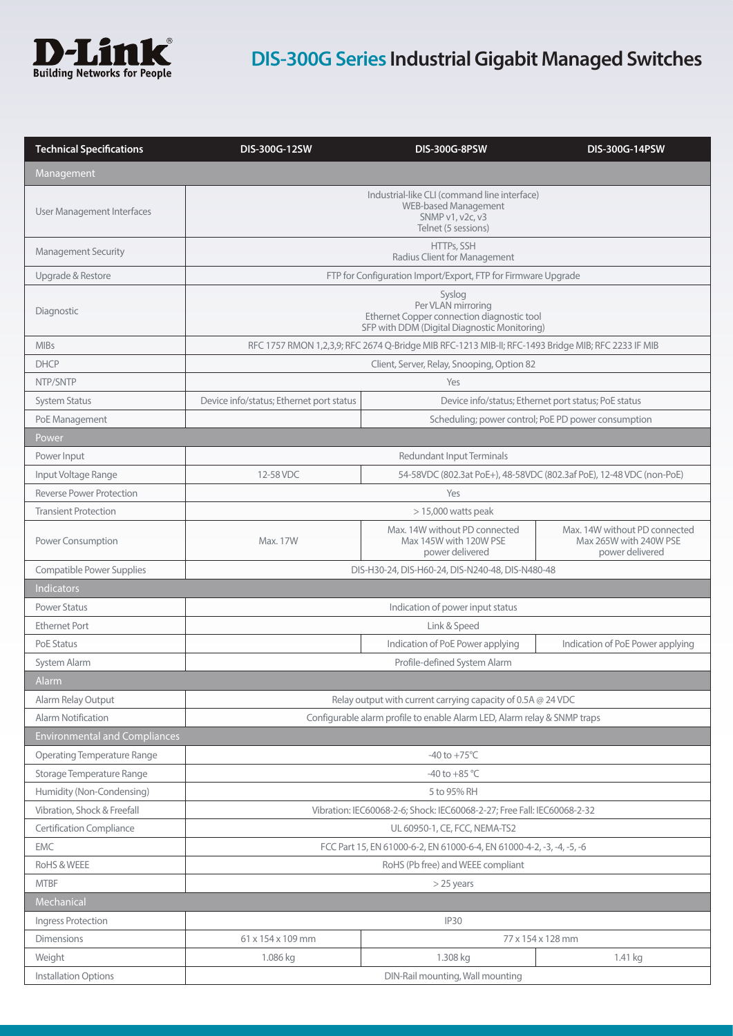

# **DIS-300G Series Industrial Gigabit Managed Switches**

| Management<br>Industrial-like CLI (command line interface)<br><b>WEB-based Management</b><br>User Management Interfaces<br>SNMP v1, v2c, v3<br>Telnet (5 sessions)<br>HTTPs, SSH<br><b>Management Security</b><br>Radius Client for Management<br>Upgrade & Restore<br>FTP for Configuration Import/Export, FTP for Firmware Upgrade<br>Syslog<br>Per VLAN mirroring<br>Diagnostic<br>Ethernet Copper connection diagnostic tool<br>SFP with DDM (Digital Diagnostic Monitoring)<br><b>MIBs</b><br>RFC 1757 RMON 1,2,3,9; RFC 2674 Q-Bridge MIB RFC-1213 MIB-II; RFC-1493 Bridge MIB; RFC 2233 IF MIB<br><b>DHCP</b><br>Client, Server, Relay, Snooping, Option 82<br>NTP/SNTP<br>Yes<br>Device info/status; Ethernet port status<br>Device info/status; Ethernet port status; PoE status<br><b>System Status</b><br>Scheduling; power control; PoE PD power consumption<br>PoE Management<br>Power<br><b>Redundant Input Terminals</b><br>Power Input<br>Input Voltage Range<br>12-58 VDC<br>54-58VDC (802.3at PoE+), 48-58VDC (802.3af PoE), 12-48 VDC (non-PoE)<br><b>Reverse Power Protection</b><br>Yes<br><b>Transient Protection</b><br>$>$ 15,000 watts peak<br>Max. 14W without PD connected<br>Max. 14W without PD connected<br>Max 145W with 120W PSE<br>Max 265W with 240W PSE<br>Power Consumption<br>Max. 17W<br>power delivered<br>power delivered<br><b>Compatible Power Supplies</b><br>DIS-H30-24, DIS-H60-24, DIS-N240-48, DIS-N480-48<br><b>Indicators</b><br><b>Power Status</b><br>Indication of power input status<br><b>Ethernet Port</b><br>Link & Speed<br><b>PoE Status</b><br>Indication of PoE Power applying<br>Indication of PoE Power applying<br>Profile-defined System Alarm<br>System Alarm<br>Alarm<br>Alarm Relay Output<br>Relay output with current carrying capacity of 0.5A @ 24 VDC<br>Configurable alarm profile to enable Alarm LED, Alarm relay & SNMP traps<br>Alarm Notification<br><b>Environmental and Compliances</b><br><b>Operating Temperature Range</b><br>$-40$ to $+75^{\circ}$ C<br>Storage Temperature Range<br>-40 to +85 $^{\circ}$ C<br>Humidity (Non-Condensing)<br>5 to 95% RH<br>Vibration, Shock & Freefall<br>Vibration: IEC60068-2-6; Shock: IEC60068-2-27; Free Fall: IEC60068-2-32<br><b>Certification Compliance</b><br>UL 60950-1, CE, FCC, NEMA-TS2<br><b>EMC</b><br>FCC Part 15, EN 61000-6-2, EN 61000-6-4, EN 61000-4-2, -3, -4, -5, -6<br>RoHS & WEEE<br>RoHS (Pb free) and WEEE compliant<br><b>MTBF</b><br>$>$ 25 years<br>Mechanical<br><b>IP30</b><br>Ingress Protection<br><b>Dimensions</b><br>61 x 154 x 109 mm<br>77 x 154 x 128 mm<br>Weight<br>1.308 kg<br>1.086 kg<br>1.41 kg<br>DIN-Rail mounting, Wall mounting<br>Installation Options | <b>Technical Specifications</b> | DIS-300G-12SW | <b>DIS-300G-8PSW</b> | DIS-300G-14PSW |
|----------------------------------------------------------------------------------------------------------------------------------------------------------------------------------------------------------------------------------------------------------------------------------------------------------------------------------------------------------------------------------------------------------------------------------------------------------------------------------------------------------------------------------------------------------------------------------------------------------------------------------------------------------------------------------------------------------------------------------------------------------------------------------------------------------------------------------------------------------------------------------------------------------------------------------------------------------------------------------------------------------------------------------------------------------------------------------------------------------------------------------------------------------------------------------------------------------------------------------------------------------------------------------------------------------------------------------------------------------------------------------------------------------------------------------------------------------------------------------------------------------------------------------------------------------------------------------------------------------------------------------------------------------------------------------------------------------------------------------------------------------------------------------------------------------------------------------------------------------------------------------------------------------------------------------------------------------------------------------------------------------------------------------------------------------------------------------------------------------------------------------------------------------------------------------------------------------------------------------------------------------------------------------------------------------------------------------------------------------------------------------------------------------------------------------------------------------------------------------------------------------------------------------------------------------------------------------------------------------------------------------------------------------------------------------------------------------------------------------|---------------------------------|---------------|----------------------|----------------|
|                                                                                                                                                                                                                                                                                                                                                                                                                                                                                                                                                                                                                                                                                                                                                                                                                                                                                                                                                                                                                                                                                                                                                                                                                                                                                                                                                                                                                                                                                                                                                                                                                                                                                                                                                                                                                                                                                                                                                                                                                                                                                                                                                                                                                                                                                                                                                                                                                                                                                                                                                                                                                                                                                                                                  |                                 |               |                      |                |
|                                                                                                                                                                                                                                                                                                                                                                                                                                                                                                                                                                                                                                                                                                                                                                                                                                                                                                                                                                                                                                                                                                                                                                                                                                                                                                                                                                                                                                                                                                                                                                                                                                                                                                                                                                                                                                                                                                                                                                                                                                                                                                                                                                                                                                                                                                                                                                                                                                                                                                                                                                                                                                                                                                                                  |                                 |               |                      |                |
|                                                                                                                                                                                                                                                                                                                                                                                                                                                                                                                                                                                                                                                                                                                                                                                                                                                                                                                                                                                                                                                                                                                                                                                                                                                                                                                                                                                                                                                                                                                                                                                                                                                                                                                                                                                                                                                                                                                                                                                                                                                                                                                                                                                                                                                                                                                                                                                                                                                                                                                                                                                                                                                                                                                                  |                                 |               |                      |                |
|                                                                                                                                                                                                                                                                                                                                                                                                                                                                                                                                                                                                                                                                                                                                                                                                                                                                                                                                                                                                                                                                                                                                                                                                                                                                                                                                                                                                                                                                                                                                                                                                                                                                                                                                                                                                                                                                                                                                                                                                                                                                                                                                                                                                                                                                                                                                                                                                                                                                                                                                                                                                                                                                                                                                  |                                 |               |                      |                |
|                                                                                                                                                                                                                                                                                                                                                                                                                                                                                                                                                                                                                                                                                                                                                                                                                                                                                                                                                                                                                                                                                                                                                                                                                                                                                                                                                                                                                                                                                                                                                                                                                                                                                                                                                                                                                                                                                                                                                                                                                                                                                                                                                                                                                                                                                                                                                                                                                                                                                                                                                                                                                                                                                                                                  |                                 |               |                      |                |
|                                                                                                                                                                                                                                                                                                                                                                                                                                                                                                                                                                                                                                                                                                                                                                                                                                                                                                                                                                                                                                                                                                                                                                                                                                                                                                                                                                                                                                                                                                                                                                                                                                                                                                                                                                                                                                                                                                                                                                                                                                                                                                                                                                                                                                                                                                                                                                                                                                                                                                                                                                                                                                                                                                                                  |                                 |               |                      |                |
|                                                                                                                                                                                                                                                                                                                                                                                                                                                                                                                                                                                                                                                                                                                                                                                                                                                                                                                                                                                                                                                                                                                                                                                                                                                                                                                                                                                                                                                                                                                                                                                                                                                                                                                                                                                                                                                                                                                                                                                                                                                                                                                                                                                                                                                                                                                                                                                                                                                                                                                                                                                                                                                                                                                                  |                                 |               |                      |                |
|                                                                                                                                                                                                                                                                                                                                                                                                                                                                                                                                                                                                                                                                                                                                                                                                                                                                                                                                                                                                                                                                                                                                                                                                                                                                                                                                                                                                                                                                                                                                                                                                                                                                                                                                                                                                                                                                                                                                                                                                                                                                                                                                                                                                                                                                                                                                                                                                                                                                                                                                                                                                                                                                                                                                  |                                 |               |                      |                |
|                                                                                                                                                                                                                                                                                                                                                                                                                                                                                                                                                                                                                                                                                                                                                                                                                                                                                                                                                                                                                                                                                                                                                                                                                                                                                                                                                                                                                                                                                                                                                                                                                                                                                                                                                                                                                                                                                                                                                                                                                                                                                                                                                                                                                                                                                                                                                                                                                                                                                                                                                                                                                                                                                                                                  |                                 |               |                      |                |
|                                                                                                                                                                                                                                                                                                                                                                                                                                                                                                                                                                                                                                                                                                                                                                                                                                                                                                                                                                                                                                                                                                                                                                                                                                                                                                                                                                                                                                                                                                                                                                                                                                                                                                                                                                                                                                                                                                                                                                                                                                                                                                                                                                                                                                                                                                                                                                                                                                                                                                                                                                                                                                                                                                                                  |                                 |               |                      |                |
|                                                                                                                                                                                                                                                                                                                                                                                                                                                                                                                                                                                                                                                                                                                                                                                                                                                                                                                                                                                                                                                                                                                                                                                                                                                                                                                                                                                                                                                                                                                                                                                                                                                                                                                                                                                                                                                                                                                                                                                                                                                                                                                                                                                                                                                                                                                                                                                                                                                                                                                                                                                                                                                                                                                                  |                                 |               |                      |                |
|                                                                                                                                                                                                                                                                                                                                                                                                                                                                                                                                                                                                                                                                                                                                                                                                                                                                                                                                                                                                                                                                                                                                                                                                                                                                                                                                                                                                                                                                                                                                                                                                                                                                                                                                                                                                                                                                                                                                                                                                                                                                                                                                                                                                                                                                                                                                                                                                                                                                                                                                                                                                                                                                                                                                  |                                 |               |                      |                |
|                                                                                                                                                                                                                                                                                                                                                                                                                                                                                                                                                                                                                                                                                                                                                                                                                                                                                                                                                                                                                                                                                                                                                                                                                                                                                                                                                                                                                                                                                                                                                                                                                                                                                                                                                                                                                                                                                                                                                                                                                                                                                                                                                                                                                                                                                                                                                                                                                                                                                                                                                                                                                                                                                                                                  |                                 |               |                      |                |
|                                                                                                                                                                                                                                                                                                                                                                                                                                                                                                                                                                                                                                                                                                                                                                                                                                                                                                                                                                                                                                                                                                                                                                                                                                                                                                                                                                                                                                                                                                                                                                                                                                                                                                                                                                                                                                                                                                                                                                                                                                                                                                                                                                                                                                                                                                                                                                                                                                                                                                                                                                                                                                                                                                                                  |                                 |               |                      |                |
|                                                                                                                                                                                                                                                                                                                                                                                                                                                                                                                                                                                                                                                                                                                                                                                                                                                                                                                                                                                                                                                                                                                                                                                                                                                                                                                                                                                                                                                                                                                                                                                                                                                                                                                                                                                                                                                                                                                                                                                                                                                                                                                                                                                                                                                                                                                                                                                                                                                                                                                                                                                                                                                                                                                                  |                                 |               |                      |                |
|                                                                                                                                                                                                                                                                                                                                                                                                                                                                                                                                                                                                                                                                                                                                                                                                                                                                                                                                                                                                                                                                                                                                                                                                                                                                                                                                                                                                                                                                                                                                                                                                                                                                                                                                                                                                                                                                                                                                                                                                                                                                                                                                                                                                                                                                                                                                                                                                                                                                                                                                                                                                                                                                                                                                  |                                 |               |                      |                |
|                                                                                                                                                                                                                                                                                                                                                                                                                                                                                                                                                                                                                                                                                                                                                                                                                                                                                                                                                                                                                                                                                                                                                                                                                                                                                                                                                                                                                                                                                                                                                                                                                                                                                                                                                                                                                                                                                                                                                                                                                                                                                                                                                                                                                                                                                                                                                                                                                                                                                                                                                                                                                                                                                                                                  |                                 |               |                      |                |
|                                                                                                                                                                                                                                                                                                                                                                                                                                                                                                                                                                                                                                                                                                                                                                                                                                                                                                                                                                                                                                                                                                                                                                                                                                                                                                                                                                                                                                                                                                                                                                                                                                                                                                                                                                                                                                                                                                                                                                                                                                                                                                                                                                                                                                                                                                                                                                                                                                                                                                                                                                                                                                                                                                                                  |                                 |               |                      |                |
|                                                                                                                                                                                                                                                                                                                                                                                                                                                                                                                                                                                                                                                                                                                                                                                                                                                                                                                                                                                                                                                                                                                                                                                                                                                                                                                                                                                                                                                                                                                                                                                                                                                                                                                                                                                                                                                                                                                                                                                                                                                                                                                                                                                                                                                                                                                                                                                                                                                                                                                                                                                                                                                                                                                                  |                                 |               |                      |                |
|                                                                                                                                                                                                                                                                                                                                                                                                                                                                                                                                                                                                                                                                                                                                                                                                                                                                                                                                                                                                                                                                                                                                                                                                                                                                                                                                                                                                                                                                                                                                                                                                                                                                                                                                                                                                                                                                                                                                                                                                                                                                                                                                                                                                                                                                                                                                                                                                                                                                                                                                                                                                                                                                                                                                  |                                 |               |                      |                |
|                                                                                                                                                                                                                                                                                                                                                                                                                                                                                                                                                                                                                                                                                                                                                                                                                                                                                                                                                                                                                                                                                                                                                                                                                                                                                                                                                                                                                                                                                                                                                                                                                                                                                                                                                                                                                                                                                                                                                                                                                                                                                                                                                                                                                                                                                                                                                                                                                                                                                                                                                                                                                                                                                                                                  |                                 |               |                      |                |
|                                                                                                                                                                                                                                                                                                                                                                                                                                                                                                                                                                                                                                                                                                                                                                                                                                                                                                                                                                                                                                                                                                                                                                                                                                                                                                                                                                                                                                                                                                                                                                                                                                                                                                                                                                                                                                                                                                                                                                                                                                                                                                                                                                                                                                                                                                                                                                                                                                                                                                                                                                                                                                                                                                                                  |                                 |               |                      |                |
|                                                                                                                                                                                                                                                                                                                                                                                                                                                                                                                                                                                                                                                                                                                                                                                                                                                                                                                                                                                                                                                                                                                                                                                                                                                                                                                                                                                                                                                                                                                                                                                                                                                                                                                                                                                                                                                                                                                                                                                                                                                                                                                                                                                                                                                                                                                                                                                                                                                                                                                                                                                                                                                                                                                                  |                                 |               |                      |                |
|                                                                                                                                                                                                                                                                                                                                                                                                                                                                                                                                                                                                                                                                                                                                                                                                                                                                                                                                                                                                                                                                                                                                                                                                                                                                                                                                                                                                                                                                                                                                                                                                                                                                                                                                                                                                                                                                                                                                                                                                                                                                                                                                                                                                                                                                                                                                                                                                                                                                                                                                                                                                                                                                                                                                  |                                 |               |                      |                |
|                                                                                                                                                                                                                                                                                                                                                                                                                                                                                                                                                                                                                                                                                                                                                                                                                                                                                                                                                                                                                                                                                                                                                                                                                                                                                                                                                                                                                                                                                                                                                                                                                                                                                                                                                                                                                                                                                                                                                                                                                                                                                                                                                                                                                                                                                                                                                                                                                                                                                                                                                                                                                                                                                                                                  |                                 |               |                      |                |
|                                                                                                                                                                                                                                                                                                                                                                                                                                                                                                                                                                                                                                                                                                                                                                                                                                                                                                                                                                                                                                                                                                                                                                                                                                                                                                                                                                                                                                                                                                                                                                                                                                                                                                                                                                                                                                                                                                                                                                                                                                                                                                                                                                                                                                                                                                                                                                                                                                                                                                                                                                                                                                                                                                                                  |                                 |               |                      |                |
|                                                                                                                                                                                                                                                                                                                                                                                                                                                                                                                                                                                                                                                                                                                                                                                                                                                                                                                                                                                                                                                                                                                                                                                                                                                                                                                                                                                                                                                                                                                                                                                                                                                                                                                                                                                                                                                                                                                                                                                                                                                                                                                                                                                                                                                                                                                                                                                                                                                                                                                                                                                                                                                                                                                                  |                                 |               |                      |                |
|                                                                                                                                                                                                                                                                                                                                                                                                                                                                                                                                                                                                                                                                                                                                                                                                                                                                                                                                                                                                                                                                                                                                                                                                                                                                                                                                                                                                                                                                                                                                                                                                                                                                                                                                                                                                                                                                                                                                                                                                                                                                                                                                                                                                                                                                                                                                                                                                                                                                                                                                                                                                                                                                                                                                  |                                 |               |                      |                |
|                                                                                                                                                                                                                                                                                                                                                                                                                                                                                                                                                                                                                                                                                                                                                                                                                                                                                                                                                                                                                                                                                                                                                                                                                                                                                                                                                                                                                                                                                                                                                                                                                                                                                                                                                                                                                                                                                                                                                                                                                                                                                                                                                                                                                                                                                                                                                                                                                                                                                                                                                                                                                                                                                                                                  |                                 |               |                      |                |
|                                                                                                                                                                                                                                                                                                                                                                                                                                                                                                                                                                                                                                                                                                                                                                                                                                                                                                                                                                                                                                                                                                                                                                                                                                                                                                                                                                                                                                                                                                                                                                                                                                                                                                                                                                                                                                                                                                                                                                                                                                                                                                                                                                                                                                                                                                                                                                                                                                                                                                                                                                                                                                                                                                                                  |                                 |               |                      |                |
|                                                                                                                                                                                                                                                                                                                                                                                                                                                                                                                                                                                                                                                                                                                                                                                                                                                                                                                                                                                                                                                                                                                                                                                                                                                                                                                                                                                                                                                                                                                                                                                                                                                                                                                                                                                                                                                                                                                                                                                                                                                                                                                                                                                                                                                                                                                                                                                                                                                                                                                                                                                                                                                                                                                                  |                                 |               |                      |                |
|                                                                                                                                                                                                                                                                                                                                                                                                                                                                                                                                                                                                                                                                                                                                                                                                                                                                                                                                                                                                                                                                                                                                                                                                                                                                                                                                                                                                                                                                                                                                                                                                                                                                                                                                                                                                                                                                                                                                                                                                                                                                                                                                                                                                                                                                                                                                                                                                                                                                                                                                                                                                                                                                                                                                  |                                 |               |                      |                |
|                                                                                                                                                                                                                                                                                                                                                                                                                                                                                                                                                                                                                                                                                                                                                                                                                                                                                                                                                                                                                                                                                                                                                                                                                                                                                                                                                                                                                                                                                                                                                                                                                                                                                                                                                                                                                                                                                                                                                                                                                                                                                                                                                                                                                                                                                                                                                                                                                                                                                                                                                                                                                                                                                                                                  |                                 |               |                      |                |
|                                                                                                                                                                                                                                                                                                                                                                                                                                                                                                                                                                                                                                                                                                                                                                                                                                                                                                                                                                                                                                                                                                                                                                                                                                                                                                                                                                                                                                                                                                                                                                                                                                                                                                                                                                                                                                                                                                                                                                                                                                                                                                                                                                                                                                                                                                                                                                                                                                                                                                                                                                                                                                                                                                                                  |                                 |               |                      |                |
|                                                                                                                                                                                                                                                                                                                                                                                                                                                                                                                                                                                                                                                                                                                                                                                                                                                                                                                                                                                                                                                                                                                                                                                                                                                                                                                                                                                                                                                                                                                                                                                                                                                                                                                                                                                                                                                                                                                                                                                                                                                                                                                                                                                                                                                                                                                                                                                                                                                                                                                                                                                                                                                                                                                                  |                                 |               |                      |                |
|                                                                                                                                                                                                                                                                                                                                                                                                                                                                                                                                                                                                                                                                                                                                                                                                                                                                                                                                                                                                                                                                                                                                                                                                                                                                                                                                                                                                                                                                                                                                                                                                                                                                                                                                                                                                                                                                                                                                                                                                                                                                                                                                                                                                                                                                                                                                                                                                                                                                                                                                                                                                                                                                                                                                  |                                 |               |                      |                |
|                                                                                                                                                                                                                                                                                                                                                                                                                                                                                                                                                                                                                                                                                                                                                                                                                                                                                                                                                                                                                                                                                                                                                                                                                                                                                                                                                                                                                                                                                                                                                                                                                                                                                                                                                                                                                                                                                                                                                                                                                                                                                                                                                                                                                                                                                                                                                                                                                                                                                                                                                                                                                                                                                                                                  |                                 |               |                      |                |
|                                                                                                                                                                                                                                                                                                                                                                                                                                                                                                                                                                                                                                                                                                                                                                                                                                                                                                                                                                                                                                                                                                                                                                                                                                                                                                                                                                                                                                                                                                                                                                                                                                                                                                                                                                                                                                                                                                                                                                                                                                                                                                                                                                                                                                                                                                                                                                                                                                                                                                                                                                                                                                                                                                                                  |                                 |               |                      |                |
|                                                                                                                                                                                                                                                                                                                                                                                                                                                                                                                                                                                                                                                                                                                                                                                                                                                                                                                                                                                                                                                                                                                                                                                                                                                                                                                                                                                                                                                                                                                                                                                                                                                                                                                                                                                                                                                                                                                                                                                                                                                                                                                                                                                                                                                                                                                                                                                                                                                                                                                                                                                                                                                                                                                                  |                                 |               |                      |                |